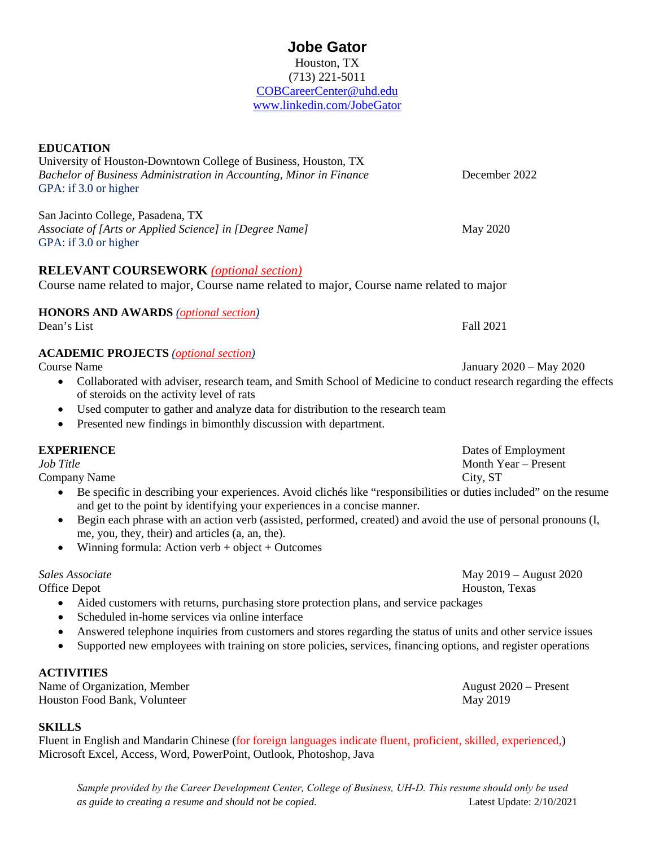| Houston, TX                |
|----------------------------|
| $(713)$ 221-5011           |
| COBCareerCenter@uhd.edu    |
| www.linkedin.com/JobeGator |
|                            |

**Jobe Gator**

| University of Houston-Downtown College of Business, Houston, TX<br>Bachelor of Business Administration in Accounting, Minor in Finance                                     | December 2022           |
|----------------------------------------------------------------------------------------------------------------------------------------------------------------------------|-------------------------|
| GPA: if 3.0 or higher                                                                                                                                                      |                         |
| San Jacinto College, Pasadena, TX                                                                                                                                          |                         |
| Associate of [Arts or Applied Science] in [Degree Name]<br>GPA: if 3.0 or higher                                                                                           | May 2020                |
| <b>RELEVANT COURSEWORK</b> (optional section)                                                                                                                              |                         |
| Course name related to major, Course name related to major, Course name related to major                                                                                   |                         |
| <b>HONORS AND AWARDS</b> (optional section)                                                                                                                                |                         |
| Dean's List                                                                                                                                                                | <b>Fall 2021</b>        |
| <b>ACADEMIC PROJECTS</b> ( <i>optional section</i> )                                                                                                                       |                         |
| <b>Course Name</b>                                                                                                                                                         | January 2020 - May 2020 |
| Collaborated with adviser, research team, and Smith School of Medicine to conduct research regarding the effects<br>$\bullet$<br>of steroids on the activity level of rats |                         |
| Used computer to gather and analyze data for distribution to the research team<br>٠                                                                                        |                         |
| Presented new findings in bimonthly discussion with department.<br>$\bullet$                                                                                               |                         |
| <b>EXPERIENCE</b>                                                                                                                                                          | Dates of Employment     |
| Job Title                                                                                                                                                                  | Month Year - Present    |

Company Name City, ST

**EDUCATION**

- Be specific in describing your experiences. Avoid clichés like "responsibilities or duties included" on the resume and get to the point by identifying your experiences in a concise manner.
- Begin each phrase with an action verb (assisted, performed, created) and avoid the use of personal pronouns (I, me, you, they, their) and articles (a, an, the).
- Winning formula: Action verb + object + Outcomes

*Sales Associate* May 2019 – August 2020

Office Depot Houston, Texas

- Aided customers with returns, purchasing store protection plans, and service packages
- Scheduled in-home services via online interface
- Answered telephone inquiries from customers and stores regarding the status of units and other service issues
- Supported new employees with training on store policies, services, financing options, and register operations

#### **ACTIVITIES**

Name of Organization, Member August 2020 – Present Houston Food Bank, Volunteer May 2019

## **SKILLS**

Fluent in English and Mandarin Chinese (for foreign languages indicate fluent, proficient, skilled, experienced,) Microsoft Excel, Access, Word, PowerPoint, Outlook, Photoshop, Java

*Sample provided by the Career Development Center, College of Business, UH‐D. This resume should only be used as guide to creating a resume and should not be copied.* Latest Update: 2/10/2021